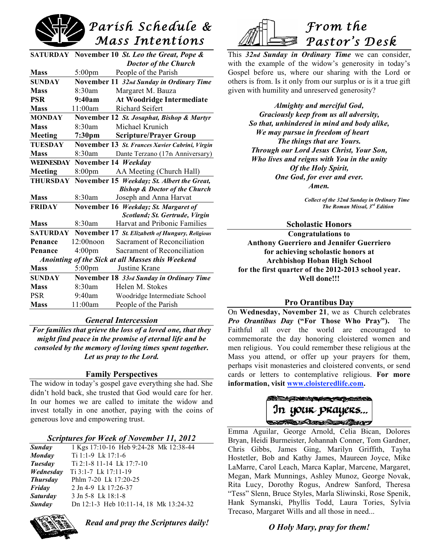

|                                                                    |                                                | SATURDAY November 10 St. Leo the Great, Pope & |  |  |
|--------------------------------------------------------------------|------------------------------------------------|------------------------------------------------|--|--|
|                                                                    |                                                | <b>Doctor of the Church</b>                    |  |  |
| <b>Mass</b>                                                        | $5:00 \text{pm}$                               | People of the Parish                           |  |  |
| <b>SUNDAY</b>                                                      |                                                | November 11 32nd Sunday in Ordinary Time       |  |  |
| <b>Mass</b>                                                        | 8:30am                                         | Margaret M. Bauza                              |  |  |
| <b>PSR</b>                                                         | 9:40am                                         | <b>At Woodridge Intermediate</b>               |  |  |
| <b>Mass</b>                                                        | 11:00am                                        | <b>Richard Seifert</b>                         |  |  |
| <b>MONDAY</b>                                                      |                                                | November 12 St. Josaphat, Bishop & Martyr      |  |  |
| <b>Mass</b>                                                        | $8:30$ am                                      | Michael Krunich                                |  |  |
| Meeting                                                            | 7:30 <sub>pm</sub>                             | <b>Scripture/Prayer Group</b>                  |  |  |
| <b>TUESDAY</b>                                                     | November 13 St. Frances Xavier Cabrini, Virgin |                                                |  |  |
| <b>Mass</b>                                                        | 8:30am                                         | Dante Terzano (17th Anniversary)               |  |  |
| <b>WEDNESDAY</b>                                                   | November 14 Weekday                            |                                                |  |  |
| <b>Meeting</b>                                                     | 8:00pm                                         | AA Meeting (Church Hall)                       |  |  |
| THURSDAY                                                           | November 15 Weekday; St. Albert the Great,     |                                                |  |  |
|                                                                    |                                                | <b>Bishop &amp; Doctor of the Church</b>       |  |  |
| <b>Mass</b>                                                        | 8:30am                                         | Joseph and Anna Harvat                         |  |  |
| <b>FRIDAY</b>                                                      |                                                | November 16 Weekday; St. Margaret of           |  |  |
|                                                                    | Scotland; St. Gertrude, Virgin                 |                                                |  |  |
| <b>Mass</b>                                                        | 8:30am                                         | Harvat and Pribonic Families                   |  |  |
| <b>SATURDAY</b><br>November 17 St. Elizabeth of Hungary, Religious |                                                |                                                |  |  |
| Penance                                                            | $12:00$ noon                                   | Sacrament of Reconciliation                    |  |  |
| Penance                                                            | 4:00 <sub>pm</sub>                             | Sacrament of Reconciliation                    |  |  |
| Anointing of the Sick at all Masses this Weekend                   |                                                |                                                |  |  |
| <b>Mass</b>                                                        | 5:00pm                                         | Justine Krane                                  |  |  |
| <b>SUNDAY</b>                                                      | November 18 33rd Sunday in Ordinary Time       |                                                |  |  |
| <b>Mass</b>                                                        | 8:30am                                         | Helen M. Stokes                                |  |  |
| <b>PSR</b>                                                         | 9:40am                                         | Woodridge Intermediate School                  |  |  |
| <b>Mass</b>                                                        | 11:00am                                        | People of the Parish                           |  |  |

#### *General Intercession*

*For families that grieve the loss of a loved one, that they might find peace in the promise of eternal life and be consoled by the memory of loving times spent together. Let us pray to the Lord.*

#### **Family Perspectives**

The widow in today's gospel gave everything she had. She didn't hold back, she trusted that God would care for her. In our homes we are called to imitate the widow and invest totally in one another, paying with the coins of generous love and empowering trust.

#### *Scriptures for Week of November 11, 2012*

| Sunday          | 1 Kgs 17:10-16 Heb 9:24-28 Mk 12:38-44 |
|-----------------|----------------------------------------|
| <b>Monday</b>   | Ti 1:1-9 Lk 17:1-6                     |
| <b>Tuesday</b>  | $Ti 2:1-8$ 11-14 Lk 17:7-10            |
| Wednesday       | $Ti$ 3:1-7 Lk 17:11-19                 |
| <b>Thursday</b> | Phlm 7-20 Lk 17:20-25                  |
| Friday          | 2 Jn 4-9 Lk 17:26-37                   |
| <b>Saturday</b> | 3 Jn 5-8 Lk 18:1-8                     |
| Sunday          | Dn 12:1-3 Heb 10:11-14, 18 Mk 13:24-32 |
|                 |                                        |



*Read and pray the Scriptures daily!*



This *32nd Sunday in Ordinary Time* we can consider, with the example of the widow's generosity in today's Gospel before us, where our sharing with the Lord or others is from. Is it only from our surplus or is it a true gift given with humility and unreserved generosity?

> *Almighty and merciful God, Graciously keep from us all adversity, So that, unhindered in mind and body alike, We may pursue in freedom of heart The things that are Yours. Through our Lord Jesus Christ, Your Son, Who lives and reigns with You in the unity Of the Holy Spirit, One God, for ever and ever. Amen.*

> > *Collect of the 32nd Sunday in Ordinary Time The Roman Missal, 3rd Edition*

**Scholastic Honors Congratulations to Anthony Guerriero and Jennifer Guerriero for achieving scholastic honors at Archbishop Hoban High School for the first quarter of the 2012-2013 school year. Well done!!!**

#### **Pro Orantibus Day**

On **Wednesday, November 21**, we as Church celebrates *Pro Orantibus Day* **("For Those Who Pray").** The Faithful all over the world are encouraged to commemorate the day honoring cloistered women and men religious. You could remember these religious at the Mass you attend, or offer up your prayers for them, perhaps visit monasteries and cloistered convents, or send cards or letters to contemplative religious. **For more information, visit www.cloisteredlife.com.**

**AND YOU AND YOU AND YOU AND YOU AND YOU AND YOU AND YOU AND YOU AND YOU AND YOU AND YOU AND YOU AND YOU AND YOU** In your prayers... SANS RASE AND CANS

Emma Aguilar, George Arnold, Celia Bican, Dolores Bryan, Heidi Burmeister, Johannah Conner, Tom Gardner, Chris Gibbs, James Ging, Marilyn Griffith, Tayha Hostetler, Bob and Kathy James, Maureen Joyce, Mike LaMarre, Carol Leach, Marca Kaplar, Marcene, Margaret, Megan, Mark Munnings, Ashley Munoz, George Novak, Rita Lucy, Dorothy Rogus, Andrew Sanford, Theresa "Tess" Slenn, Bruce Styles, Marla Sliwinski, Rose Spenik, Hank Symanski, Phyllis Todd, Laura Tories, Sylvia Trecaso, Margaret Wills and all those in need...

#### *O Holy Mary, pray for them!*